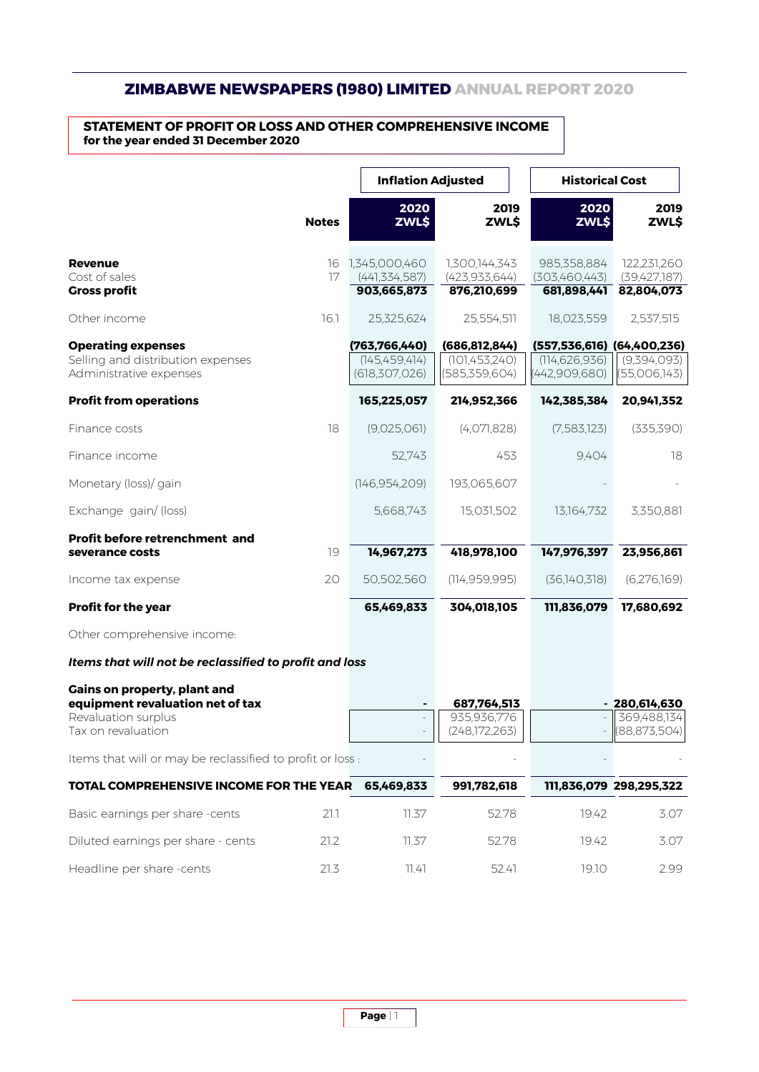## **ZIMBABWE NEWSPAPERS (1980) LIMITED ANNUAL REPORT 2020**

## **STATEMENT OF PROFIT OR LOSS AND OTHER COMPREHENSIVE INCOME for the year ended 31 December 2020**

|                                                                                                                      | <b>Notes</b> | <b>Inflation Adjusted</b>                             |                                                     | <b>Historical Cost</b>                                         |                                                   |
|----------------------------------------------------------------------------------------------------------------------|--------------|-------------------------------------------------------|-----------------------------------------------------|----------------------------------------------------------------|---------------------------------------------------|
|                                                                                                                      |              | 2020<br>ZWL\$                                         | 2019<br>ZWL\$                                       | 2020<br>ZWL\$                                                  | 2019<br>ZWL\$                                     |
| <b>Revenue</b><br>Cost of sales<br><b>Gross profit</b>                                                               | 16<br>17     | 1,345,000,460<br>(441, 334, 587)<br>903,665,873       | 1,300,144,343<br>(423, 933, 644)<br>876,210,699     | 985,358,884<br>(303,460,443)<br>681,898,441                    | 122,231,260<br>(39,427,187)<br>82,804,073         |
| Other income                                                                                                         | 16.1         | 25,325,624                                            | 25,554,511                                          | 18,023,559                                                     | 2,537,515                                         |
| <b>Operating expenses</b><br>Selling and distribution expenses<br>Administrative expenses                            |              | (763, 766, 440)<br>(145, 459, 414)<br>(618, 307, 026) | (686, 812, 844)<br>(101, 453, 240)<br>(585,359,604) | (557,536,616) (64,400,236)<br>(114, 626, 936)<br>(442,909,680) | (9,394,093)<br>(55,006,143)                       |
| <b>Profit from operations</b>                                                                                        |              | 165,225,057                                           | 214,952,366                                         | 142,385,384                                                    | 20,941,352                                        |
| Finance costs                                                                                                        | 18           | (9,025,061)                                           | (4,071,828)                                         | (7,583,123)                                                    | (335, 390)                                        |
| Finance income                                                                                                       |              | 52,743                                                | 453                                                 | 9,404                                                          | 18                                                |
| Monetary (loss)/ gain                                                                                                |              | (146, 954, 209)                                       | 193,065,607                                         |                                                                |                                                   |
| Exchange gain/ (loss)                                                                                                |              | 5,668,743                                             | 15,031,502                                          | 13,164,732                                                     | 3,350,881                                         |
| Profit before retrenchment and<br>severance costs                                                                    | 19           | 14,967,273                                            | 418,978,100                                         | 147,976,397                                                    | 23,956,861                                        |
| Income tax expense                                                                                                   | 20           | 50,502,560                                            | (114, 959, 995)                                     | (36,140,318)                                                   | (6,276,169)                                       |
| <b>Profit for the year</b>                                                                                           |              | 65,469,833                                            | 304,018,105                                         | 111,836,079                                                    | 17,680,692                                        |
| Other comprehensive income:                                                                                          |              |                                                       |                                                     |                                                                |                                                   |
| Items that will not be reclassified to profit and loss                                                               |              |                                                       |                                                     |                                                                |                                                   |
| <b>Gains on property, plant and</b><br>equipment revaluation net of tax<br>Revaluation surplus<br>Tax on revaluation |              |                                                       | 687,764,513<br>935,936,776<br>(248,172,263)         |                                                                | $-280,614,630$<br>369,488,134<br>$-$ (88,873,504) |
| Items that will or may be reclassified to profit or loss :                                                           |              |                                                       |                                                     |                                                                |                                                   |
| TOTAL COMPREHENSIVE INCOME FOR THE YEAR                                                                              |              | 65,469,833                                            | 991,782,618                                         |                                                                | 111,836,079 298,295,322                           |
| Basic earnings per share -cents                                                                                      | 21.1         | 11.37                                                 | 52.78                                               | 19.42                                                          | 3.07                                              |
| Diluted earnings per share - cents                                                                                   | 21.2         | 11.37                                                 | 52.78                                               | 19.42                                                          | 3.07                                              |
| Headline per share -cents                                                                                            | 21.3         | 11.41                                                 | 52.41                                               | 19.10                                                          | 2.99                                              |